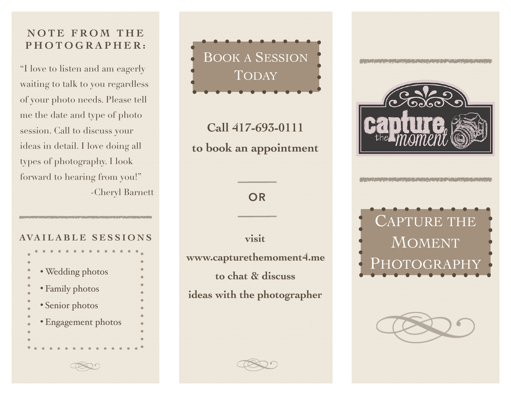## **NOTE FROM THE PHOTOGRAPHER:**

"I love to listen and am eagerly waiting to talk to you regardless of your photo needs. Please tell me the date and type of photo session. Call to discuss your ideas in detail. I love doing all types of photography. I look forward to hearing from you!" -Cheryl Barnett

## **AVAILABLE SESSIONS**

| · Wedding photos    |
|---------------------|
|                     |
| • Family photos     |
|                     |
| · Senior photos     |
| · Engagement photos |
|                     |
|                     |
|                     |
|                     |

BOOK A SESSION TODAY

**Call 417-693-0111 to book an appointment**

**OR**

**visit**

**www.capturethemoment4.me to chat & discuss**

**ideas with the photographer**



CAPTURE THE MOMENT PHOTOGRAPHY

E L'ANCORE L'ANCORE EN 1980